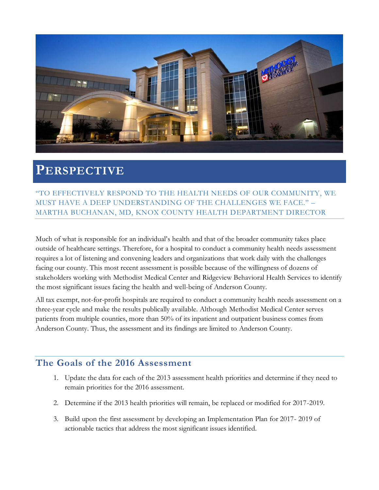

# **PERSPECTIVE**

"TO EFFECTIVELY RESPOND TO THE HEALTH NEEDS OF OUR COMMUNITY, WE MUST HAVE A DEEP UNDERSTANDING OF THE CHALLENGES WE FACE." – MARTHA BUCHANAN, MD, KNOX COUNTY HEALTH DEPARTMENT DIRECTOR

Much of what is responsible for an individual's health and that of the broader community takes place outside of healthcare settings. Therefore, for a hospital to conduct a community health needs assessment requires a lot of listening and convening leaders and organizations that work daily with the challenges facing our county. This most recent assessment is possible because of the willingness of dozens of stakeholders working with Methodist Medical Center and Ridgeview Behavioral Health Services to identify the most significant issues facing the health and well-being of Anderson County.

All tax exempt, not-for-profit hospitals are required to conduct a community health needs assessment on a three-year cycle and make the results publically available. Although Methodist Medical Center serves patients from multiple counties, more than 50% of its inpatient and outpatient business comes from Anderson County. Thus, the assessment and its findings are limited to Anderson County.

### **The Goals of the 2016 Assessment**

- 1. Update the data for each of the 2013 assessment health priorities and determine if they need to remain priorities for the 2016 assessment.
- 2. Determine if the 2013 health priorities will remain, be replaced or modified for 2017-2019.
- 3. Build upon the first assessment by developing an Implementation Plan for 2017- 2019 of actionable tactics that address the most significant issues identified.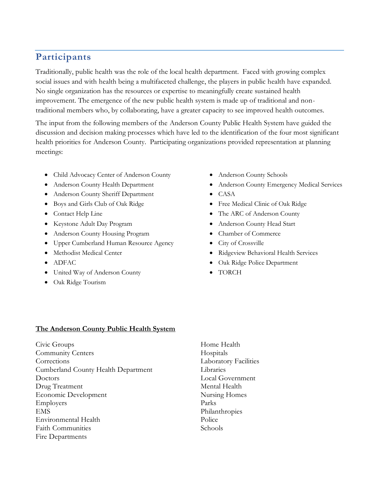### **Participants**

Traditionally, public health was the role of the local health department. Faced with growing complex social issues and with health being a multifaceted challenge, the players in public health have expanded. No single organization has the resources or expertise to meaningfully create sustained health improvement. The emergence of the new public health system is made up of traditional and nontraditional members who, by collaborating, have a greater capacity to see improved health outcomes.

The input from the following members of the Anderson County Public Health System have guided the discussion and decision making processes which have led to the identification of the four most significant health priorities for Anderson County. Participating organizations provided representation at planning meetings:

- Child Advocacy Center of Anderson County
- Anderson County Health Department
- Anderson County Sheriff Department
- Boys and Girls Club of Oak Ridge
- Contact Help Line
- Keystone Adult Day Program
- Anderson County Housing Program
- Upper Cumberland Human Resource Agency
- Methodist Medical Center
- ADFAC
- United Way of Anderson County
- Oak Ridge Tourism
- Anderson County Schools
- Anderson County Emergency Medical Services
- CASA
- Free Medical Clinic of Oak Ridge
- The ARC of Anderson County
- Anderson County Head Start
- Chamber of Commerce
- City of Crossville
- Ridgeview Behavioral Health Services
- Oak Ridge Police Department
- TORCH

### **The Anderson County Public Health System**

Civic Groups Community Centers **Corrections** Cumberland County Health Department Doctors Drug Treatment Economic Development Employers EMS Environmental Health Faith Communities Fire Departments

Home Health Hospitals Laboratory Facilities Libraries Local Government Mental Health Nursing Homes Parks Philanthropies Police Schools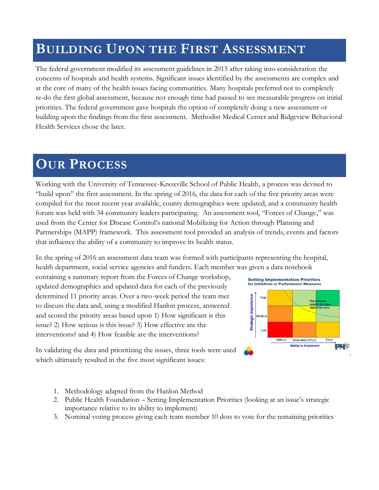# **BUILDING UPON THE FIRST ASSESSMENT**

The federal government modified its assessment guidelines in 2015 after taking into consideration the concerns of hospitals and health systems. Significant issues identified by the assessments are complex and at the core of many of the health issues facing communities. Many hospitals preferred not to completely re-do the first global assessment, because not enough time had passed to see measurable progress on initial priorities. The federal government gave hospitals the option of completely doing a new assessment or building upon the findings from the first assessment. Methodist Medical Center and Ridgeview Behavioral Health Services chose the later.

# **OUR PROCESS**

Working with the University of Tennessee-Knoxville School of Public Health, a process was devised to "build upon" the first assessment. In the spring of 2016, the data for each of the five priority areas were compiled for the most recent year available, county demographics were updated, and a community health forum was held with 34 community leaders participating. An assessment tool, "Forces of Change," was used from the Center for Disease Control's national Mobilizing for Action through Planning and Partnerships (MAPP) framework. This assessment tool provided an analysis of trends, events and factors that influence the ability of a community to improve its health status.

In the spring of 2016 an assessment data team was formed with participants representing the hospital, health department, social service agencies and funders. Each member was given a data notebook

containing a summary report from the Forces of Change workshop, updated demographics and updated data for each of the previously determined 11 priority areas. Over a two-week period the team met to discuss the data and, using a modified Hanlon process, answered and scored the priority areas based upon 1) How significant is this issue? 2) How serious is this issue? 3) How effective are the interventions? and 4) How feasible are the interventions?



In validating the data and prioritizing the issues, three tools were used which ultimately resulted in the five most significant issues:

- 1. Methodology adapted from the Hanlon Method
- 2. Public Health Foundation Setting Implementation Priorities (looking at an issue's strategic importance relative to its ability to implement)
- 3. Nominal voting process giving each team member 10 dots to vote for the remaining priorities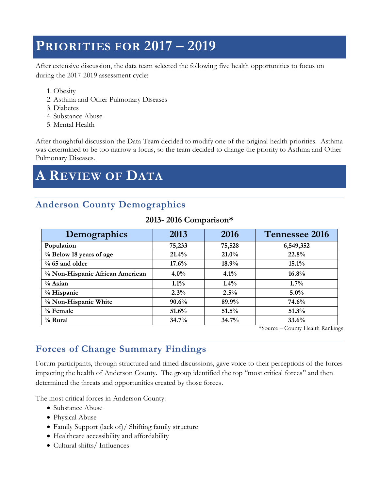# **PRIORITIES FOR 2017 – 2019**

After extensive discussion, the data team selected the following five health opportunities to focus on during the 2017-2019 assessment cycle:

- 1. Obesity
- 2. Asthma and Other Pulmonary Diseases
- 3. Diabetes
- 4. Substance Abuse
- 5. Mental Health

After thoughtful discussion the Data Team decided to modify one of the original health priorities. Asthma was determined to be too narrow a focus, so the team decided to change the priority to Asthma and Other Pulmonary Diseases.

# **A REVIEW OF DATA**

### **Anderson County Demographics**

| Demographics                    | 2013    | 2016     | Tennessee 2016                                          |
|---------------------------------|---------|----------|---------------------------------------------------------|
| Population                      | 75,233  | 75,528   | 6,549,352                                               |
| % Below 18 years of age         | 21.4%   | $21.0\%$ | 22.8%                                                   |
| $% 65$ and older                | 17.6%   | 18.9%    | 15.1%                                                   |
| % Non-Hispanic African American | $4.0\%$ | 4.1%     | $16.8\%$                                                |
| % Asian                         | $1.1\%$ | $1.4\%$  | $1.7\%$                                                 |
| % Hispanic                      | 2.3%    | 2.5%     | $5.0\%$                                                 |
| % Non-Hispanic White            | 90.6%   | 89.9%    | 74.6%                                                   |
| $%$ Female                      | 51.6%   | 51.5%    | 51.3%                                                   |
| $%$ Rural                       | 34.7%   | 34.7%    | 33.6%<br>__ _ _ _<br><b><i><u>ALCOHOL: 2006</u></i></b> |

### **2013- 2016 Comparison\***

\*Source – County Health Rankings

### **Forces of Change Summary Findings**

Forum participants, through structured and timed discussions, gave voice to their perceptions of the forces impacting the health of Anderson County. The group identified the top "most critical forces" and then determined the threats and opportunities created by those forces.

The most critical forces in Anderson County:

- Substance Abuse
- Physical Abuse
- Family Support (lack of)/ Shifting family structure
- Healthcare accessibility and affordability
- Cultural shifts/ Influences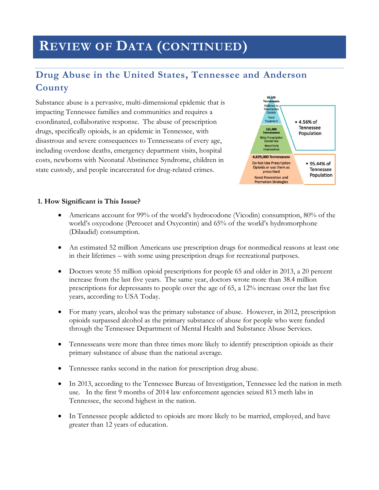# **REVIEW OF DATA (CONTINUED)**

### **Drug Abuse in the United States, Tennessee and Anderson County**

Substance abuse is a pervasive, multi-dimensional epidemic that is impacting Tennessee families and communities and requires a coordinated, collaborative response. The abuse of prescription drugs, specifically opioids, is an epidemic in Tennessee, with disastrous and severe consequences to Tennesseans of every age, including overdose deaths, emergency department visits, hospital costs, newborns with Neonatal Abstinence Syndrome, children in state custody, and people incarcerated for drug-related crimes.



#### **1. How Significant is This Issue?**

- Americans account for 99% of the world's hydrocodone (Vicodin) consumption, 80% of the world's oxycodone (Percocet and Oxycontin) and 65% of the world's hydromorphone (Dilaudid) consumption.
- An estimated 52 million Americans use prescription drugs for nonmedical reasons at least one in their lifetimes – with some using prescription drugs for recreational purposes.
- Doctors wrote 55 million opioid prescriptions for people 65 and older in 2013, a 20 percent increase from the last five years. The same year, doctors wrote more than 38.4 million prescriptions for depressants to people over the age of 65, a 12% increase over the last five years, according to USA Today.
- For many years, alcohol was the primary substance of abuse. However, in 2012, prescription opioids surpassed alcohol as the primary substance of abuse for people who were funded through the Tennessee Department of Mental Health and Substance Abuse Services.
- Tennesseans were more than three times more likely to identify prescription opioids as their primary substance of abuse than the national average.
- Tennessee ranks second in the nation for prescription drug abuse.
- In 2013, according to the Tennessee Bureau of Investigation, Tennessee led the nation in meth use. In the first 9 months of 2014 law enforcement agencies seized 813 meth labs in Tennessee, the second highest in the nation.
- In Tennessee people addicted to opioids are more likely to be married, employed, and have greater than 12 years of education.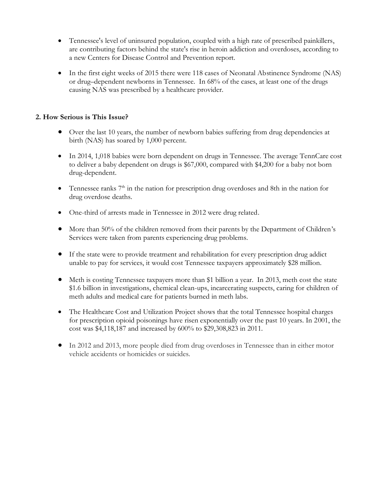- Tennessee's level of uninsured population, coupled with a high rate of prescribed painkillers, are contributing factors behind the state's rise in heroin addiction and overdoses, according to a new Centers for Disease Control and Prevention report.
- In the first eight weeks of 2015 there were 118 cases of Neonatal Abstinence Syndrome (NAS) or drug–dependent newborns in Tennessee. In 68% of the cases, at least one of the drugs causing NAS was prescribed by a healthcare provider.

### **2. How Serious is This Issue?**

- Over the last 10 years, the number of newborn babies suffering from drug dependencies at birth (NAS) has soared by 1,000 percent.
- In 2014, 1,018 babies were born dependent on drugs in Tennessee. The average TennCare cost to deliver a baby dependent on drugs is \$67,000, compared with \$4,200 for a baby not born drug-dependent.
- Tennessee ranks  $7<sup>th</sup>$  in the nation for prescription drug overdoses and 8th in the nation for drug overdose deaths.
- One-third of arrests made in Tennessee in 2012 were drug related.
- More than 50% of the children removed from their parents by the Department of Children's Services were taken from parents experiencing drug problems.
- If the state were to provide treatment and rehabilitation for every prescription drug addict unable to pay for services, it would cost Tennessee taxpayers approximately \$28 million.
- Meth is costing Tennessee taxpayers more than \$1 billion a year. In 2013, meth cost the state \$1.6 billion in investigations, chemical clean-ups, incarcerating suspects, caring for children of meth adults and medical care for patients burned in meth labs.
- The Healthcare Cost and Utilization Project shows that the total Tennessee hospital charges for prescription opioid poisonings have risen exponentially over the past 10 years. In 2001, the cost was \$4,118,187 and increased by 600% to \$29,308,823 in 2011.
- In 2012 and 2013, more people died from drug overdoses in Tennessee than in either motor vehicle accidents or homicides or suicides.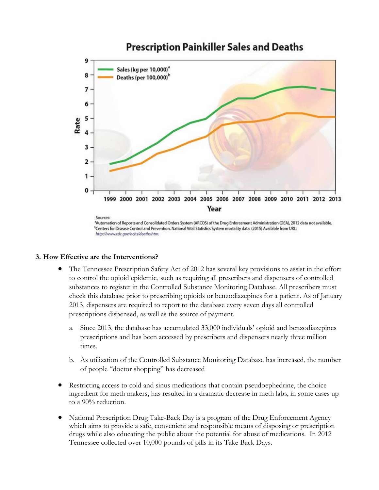### **Prescription Painkiller Sales and Deaths**



<sup>b</sup>Centers for Disease Control and Prevention. National Vital Statistics System mortality data. (2015) Available from URL: http://www.cdc.gov/nchs/deaths.htm.

#### **3. How Effective are the Interventions?**

- The Tennessee Prescription Safety Act of 2012 has several key provisions to assist in the effort to control the opioid epidemic, such as requiring all prescribers and dispensers of controlled substances to register in the Controlled Substance Monitoring Database. All prescribers must check this database prior to prescribing opioids or benzodiazepines for a patient. As of January 2013, dispensers are required to report to the database every seven days all controlled prescriptions dispensed, as well as the source of payment.
	- a. Since 2013, the database has accumulated 33,000 individuals' opioid and benzodiazepines prescriptions and has been accessed by prescribers and dispensers nearly three million times.
	- b. As utilization of the Controlled Substance Monitoring Database has increased, the number of people "doctor shopping" has decreased
- Restricting access to cold and sinus medications that contain pseudoephedrine, the choice ingredient for meth makers, has resulted in a dramatic decrease in meth labs, in some cases up to a 90% reduction.
- National Prescription Drug Take-Back Day is a program of the Drug Enforcement Agency which aims to provide a safe, convenient and responsible means of disposing or prescription drugs while also educating the public about the potential for abuse of medications. In 2012 Tennessee collected over 10,000 pounds of pills in its Take Back Days.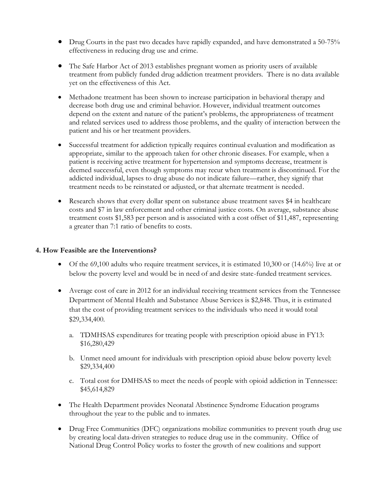- Drug Courts in the past two decades have rapidly expanded, and have demonstrated a 50-75% effectiveness in reducing drug use and crime.
- The Safe Harbor Act of 2013 establishes pregnant women as priority users of available treatment from publicly funded drug addiction treatment providers. There is no data available yet on the effectiveness of this Act.
- Methadone treatment has been shown to increase participation in behavioral therapy and decrease both drug use and criminal behavior. However, individual treatment outcomes depend on the extent and nature of the patient's problems, the appropriateness of treatment and related services used to address those problems, and the quality of interaction between the patient and his or her treatment providers.
- Successful treatment for addiction typically requires continual evaluation and modification as appropriate, similar to the approach taken for other chronic diseases. For example, when a patient is receiving active treatment for hypertension and symptoms decrease, treatment is deemed successful, even though symptoms may recur when treatment is discontinued. For the addicted individual, lapses to drug abuse do not indicate failure—rather, they signify that treatment needs to be reinstated or adjusted, or that alternate treatment is needed.
- Research shows that every dollar spent on substance abuse treatment saves \$4 in healthcare costs and \$7 in law enforcement and other criminal justice costs. On average, substance abuse treatment costs \$1,583 per person and is associated with a cost offset of \$11,487, representing a greater than 7:1 ratio of benefits to costs.

#### **4. How Feasible are the Interventions?**

- Of the 69,100 adults who require treatment services, it is estimated 10,300 or (14.6%) live at or below the poverty level and would be in need of and desire state-funded treatment services.
- Average cost of care in 2012 for an individual receiving treatment services from the Tennessee Department of Mental Health and Substance Abuse Services is \$2,848. Thus, it is estimated that the cost of providing treatment services to the individuals who need it would total \$29,334,400.
	- a. TDMHSAS expenditures for treating people with prescription opioid abuse in FY13: \$16,280,429
	- b. Unmet need amount for individuals with prescription opioid abuse below poverty level: \$29,334,400
	- c. Total cost for DMHSAS to meet the needs of people with opioid addiction in Tennessee: \$45,614,829
- The Health Department provides Neonatal Abstinence Syndrome Education programs throughout the year to the public and to inmates.
- Drug Free Communities (DFC) organizations mobilize communities to prevent youth drug use by creating local data-driven strategies to reduce drug use in the community. Office of National Drug Control Policy works to foster the growth of new coalitions and support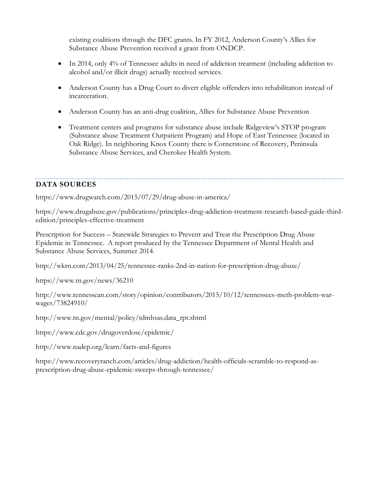existing coalitions through the DFC grants. In FY 2012, Anderson County's Allies for Substance Abuse Prevention received a grant from ONDCP.

- In 2014, only 4% of Tennessee adults in need of addiction treatment (including addiction to alcohol and/or illicit drugs) actually received services.
- Anderson County has a Drug Court to divert eligible offenders into rehabilitation instead of incarceration.
- Anderson County has an anti-drug coalition, Allies for Substance Abuse Prevention
- Treatment centers and programs for substance abuse include Ridgeview's STOP program (Substance abuse Treatment Outpatient Program) and Hope of East Tennessee (located in Oak Ridge). In neighboring Knox County there is Cornerstone of Recovery, Peninsula Substance Abuse Services, and Cherokee Health System.

### **DATA SOURCES**

<https://www.drugwatch.com/2015/07/29/drug-abuse-in-america/>

[https://www.drugabuse.gov/publications/principles-drug-addiction-treatment-research-based-guide-third](https://www.drugabuse.gov/publications/principles-drug-addiction-treatment-research-based-guide-third-edition/principles-effective-treatment)[edition/principles-effective-treatment](https://www.drugabuse.gov/publications/principles-drug-addiction-treatment-research-based-guide-third-edition/principles-effective-treatment)

Prescription for Success – Statewide Strategies to Prevent and Treat the Prescription Drug Abuse Epidemic in Tennessee. A report produced by the Tennessee Department of Mental Health and Substance Abuse Services, Summer 2014.

<http://wkrn.com/2013/04/25/tennessee-ranks-2nd-in-nation-for-prescription-drug-abuse/>

<https://www.tn.gov/news/36210>

[http://www.tennessean.com/story/opinion/contributors/2015/10/12/tennessees-meth-problem-war](http://www.tennessean.com/story/opinion/contributors/2015/10/12/tennessees-meth-problem-war-wages/73824910/)[wages/73824910/](http://www.tennessean.com/story/opinion/contributors/2015/10/12/tennessees-meth-problem-war-wages/73824910/)

[http://www.tn.gov/mental/policy/tdmhsas.data\\_rpt.shtml](http://www.tn.gov/mental/policy/tdmhsas.data_rpt.shtml)

https://www.cdc.gov/drugoverdose/epidemic/

http://www.nadcp.org/learn/facts-and-figures

[https://www.recoveryranch.com/articles/drug-addiction/health-officials-scramble-to-respond-as](https://www.recoveryranch.com/articles/drug-addiction/health-officials-scramble-to-respond-as-prescription-drug-abuse-epidemic-sweeps-through-tennessee/)[prescription-drug-abuse-epidemic-sweeps-through-tennessee/](https://www.recoveryranch.com/articles/drug-addiction/health-officials-scramble-to-respond-as-prescription-drug-abuse-epidemic-sweeps-through-tennessee/)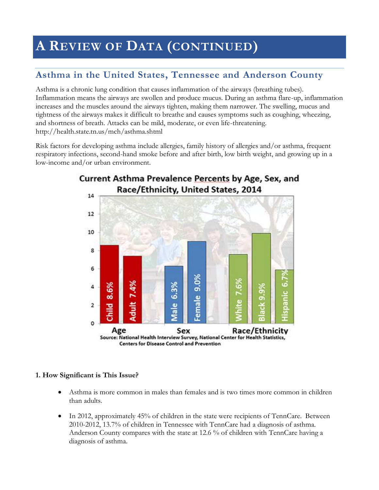# **A REVIEW OF DATA (CONTINUED)**

### **Asthma in the United States, Tennessee and Anderson County**

Asthma is a chronic lung condition that causes inflammation of the airways (breathing tubes). Inflammation means the airways are swollen and produce mucus. During an asthma flare-up, inflammation increases and the muscles around the airways tighten, making them narrower. The swelling, mucus and tightness of the airways makes it difficult to breathe and causes symptoms such as coughing, wheezing, and shortness of breath. Attacks can be mild, moderate, or even life-threatening. <http://health.state.tn.us/mch/asthma.shtml>

Risk factors for developing asthma include allergies, family history of allergies and/or asthma, frequent respiratory infections, second-hand smoke before and after birth, low birth weight, and growing up in a low-income and/or urban environment.



# Current Asthma Prevalence Percents by Age, Sex, and

### **1. How Significant is This Issue?**

- Asthma is more common in males than females and is two times more common in children than adults.
- In 2012, approximately 45% of children in the state were recipients of TennCare. Between 2010-2012, 13.7% of children in Tennessee with TennCare had a diagnosis of asthma. Anderson County compares with the state at 12.6 % of children with TennCare having a diagnosis of asthma.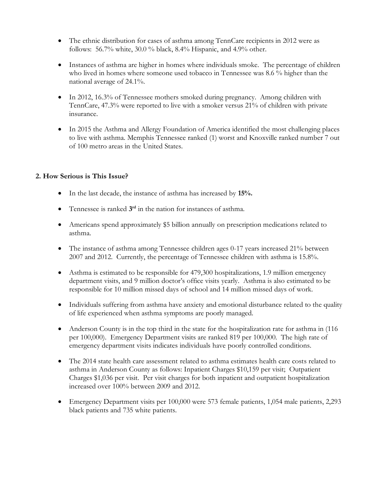- The ethnic distribution for cases of asthma among TennCare recipients in 2012 were as follows: 56.7% white, 30.0 % black, 8.4% Hispanic, and 4.9% other.
- Instances of asthma are higher in homes where individuals smoke. The percentage of children who lived in homes where someone used tobacco in Tennessee was 8.6 % higher than the national average of 24.1%.
- In 2012, 16.3% of Tennessee mothers smoked during pregnancy. Among children with TennCare, 47.3% were reported to live with a smoker versus 21% of children with private insurance.
- In 2015 the Asthma and Allergy Foundation of America identified the most challenging places to live with asthma. Memphis Tennessee ranked (1) worst and Knoxville ranked number 7 out of 100 metro areas in the United States.

### **2. How Serious is This Issue?**

- In the last decade, the instance of asthma has increased by **15%.**
- Tennessee is ranked  $3<sup>rd</sup>$  in the nation for instances of asthma.
- Americans spend approximately \$5 billion annually on prescription medications related to asthma.
- The instance of asthma among Tennessee children ages 0-17 years increased 21% between 2007 and 2012. Currently, the percentage of Tennessee children with asthma is 15.8%.
- Asthma is estimated to be responsible for 479,300 hospitalizations, 1.9 million emergency department visits, and 9 million doctor's office visits yearly. Asthma is also estimated to be responsible for 10 million missed days of school and 14 million missed days of work.
- Individuals suffering from asthma have anxiety and emotional disturbance related to the quality of life experienced when asthma symptoms are poorly managed.
- Anderson County is in the top third in the state for the hospitalization rate for asthma in (116) per 100,000). Emergency Department visits are ranked 819 per 100,000. The high rate of emergency department visits indicates individuals have poorly controlled conditions.
- The 2014 state health care assessment related to asthma estimates health care costs related to asthma in Anderson County as follows: Inpatient Charges \$10,159 per visit; Outpatient Charges \$1,036 per visit. Per visit charges for both inpatient and outpatient hospitalization increased over 100% between 2009 and 2012.
- Emergency Department visits per 100,000 were 573 female patients, 1,054 male patients, 2,293 black patients and 735 white patients.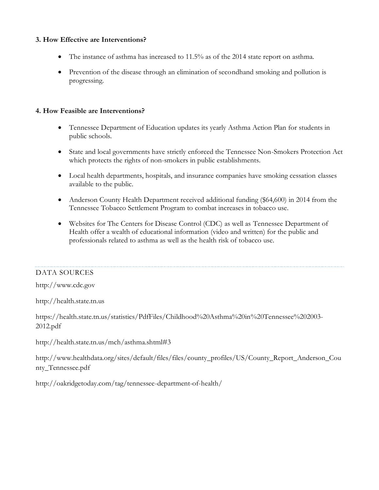### **3. How Effective are Interventions?**

- The instance of asthma has increased to 11.5% as of the 2014 state report on asthma.
- Prevention of the disease through an elimination of secondhand smoking and pollution is progressing.

### **4. How Feasible are Interventions?**

- Tennessee Department of Education updates its yearly Asthma Action Plan for students in public schools.
- State and local governments have strictly enforced the Tennessee Non-Smokers Protection Act which protects the rights of non-smokers in public establishments.
- Local health departments, hospitals, and insurance companies have smoking cessation classes available to the public.
- Anderson County Health Department received additional funding (\$64,600) in 2014 from the Tennessee Tobacco Settlement Program to combat increases in tobacco use.
- Websites for The Centers for Disease Control (CDC) as well as Tennessee Department of Health offer a wealth of educational information (video and written) for the public and professionals related to asthma as well as the health risk of tobacco use.

### DATA SOURCES

[http://www.cdc.gov](http://www.cdc.gov/)

[http://health.state.tn.us](http://health.state.tn.us/)

[https://health.state.tn.us/statistics/PdfFiles/Childhood%20Asthma%20in%20Tennessee%202003-](https://health.state.tn.us/statistics/PdfFiles/Childhood%20Asthma%20in%20Tennessee%202003-2012.pdf) [2012.pdf](https://health.state.tn.us/statistics/PdfFiles/Childhood%20Asthma%20in%20Tennessee%202003-2012.pdf)

<http://health.state.tn.us/mch/asthma.shtml#3>

[http://www.healthdata.org/sites/default/files/files/county\\_profiles/US/County\\_Report\\_Anderson\\_Cou](http://www.healthdata.org/sites/default/files/files/county_profiles/US/County_Report_Anderson_County_Tennessee.pdf) [nty\\_Tennessee.pdf](http://www.healthdata.org/sites/default/files/files/county_profiles/US/County_Report_Anderson_County_Tennessee.pdf)

<http://oakridgetoday.com/tag/tennessee-department-of-health/>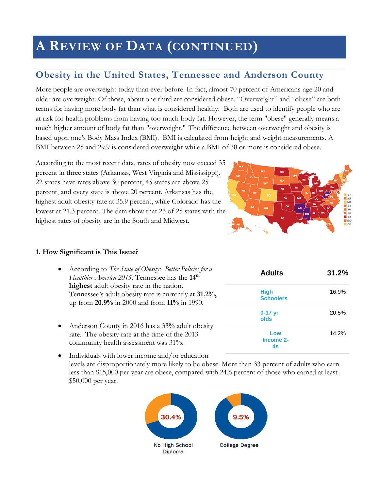# **A REVIEW OF DATA (CONTINUED)**

### **Obesity in the United States, Tennessee and Anderson County**

More people are overweight today than ever before. In fact, almost 70 percent of Americans age 20 and older are overweight. Of those, about one third are considered obese. "Overweight" and "obese" are both terms for having more body fat than what is considered healthy. Both are used to identify people who are at risk for health problems from having too much body fat. However, the term "obese" generally means a much higher amount of body fat than "overweight." The difference between overweight and obesity is based upon one's Body Mass Index (BMI). BMI is calculated from height and weight measurements. A BMI between 25 and 29.9 is considered overweight while a BMI of 30 or more is considered obese.

According to the most recent data, rates of obesity now exceed 35 percent in three states (Arkansas, West Virginia and Mississippi), 22 states have rates above 30 percent, 45 states are above 25 percent, and every state is above 20 percent. Arkansas has the highest adult obesity rate at 35.9 percent, while Colorado has the lowest at 21.3 percent. The data show that 23 of 25 states with the highest rates of obesity are in the South and Midwest.



#### **1. How Significant is This Issue?**

- According to *The State of Obesity: Better Policies for a Healthier America 2015,* Tennessee has the **14th highest** adult obesity rate in the nation. Tennessee's adult obesity rate is currently at **31.2%,** up from **20.9%** in 2000 and from **11%** in 1990.
- Anderson County in 2016 has a 33**%** adult obesity rate. The obesity rate at the time of the 2013 community health assessment was 31%.
- **Adults 31.2% High Schoolers** 16.9% **0-17 yr olds** 20.5% **Low Income 2- 4s** 14.2%
- Individuals with lower income and/or education levels are disproportionately more likely to be obese. More than 33 percent of adults who earn less than \$15,000 per year are obese, compared with 24.6 percent of those who earned at least \$50,000 per year.

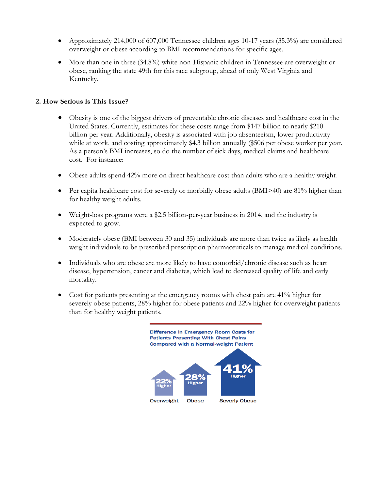- Approximately 214,000 of 607,000 Tennessee children ages 10-17 years (35.3%) are considered overweight or obese according to BMI recommendations for specific ages.
- More than one in three (34.8%) white non-Hispanic children in Tennessee are overweight or obese, ranking the state 49th for this race subgroup, ahead of only West Virginia and Kentucky.

### **2. How Serious is This Issue?**

- Obesity is one of the biggest drivers of preventable chronic diseases and healthcare cost in the United States. Currently, estimates for these costs range from \$147 billion to nearly \$210 billion per year. Additionally, obesity is associated with job absenteeism, lower productivity while at work, and costing approximately \$4.3 billion annually (\$506 per obese worker per year. As a person's BMI increases, so do the number of sick days, medical claims and healthcare cost. For instance:
- Obese adults spend 42% more on direct healthcare cost than adults who are a healthy weight.
- Per capita healthcare cost for severely or morbidly obese adults (BMI>40) are 81% higher than for healthy weight adults.
- Weight-loss programs were a \$2.5 billion-per-year business in 2014, and the industry is expected to grow.
- Moderately obese (BMI between 30 and 35) individuals are more than twice as likely as health weight individuals to be prescribed prescription pharmaceuticals to manage medical conditions.
- Individuals who are obese are more likely to have comorbid/chronic disease such as heart disease, hypertension, cancer and diabetes, which lead to decreased quality of life and early mortality.
- Cost for patients presenting at the emergency rooms with chest pain are 41% higher for severely obese patients, 28% higher for obese patients and 22% higher for overweight patients than for healthy weight patients.

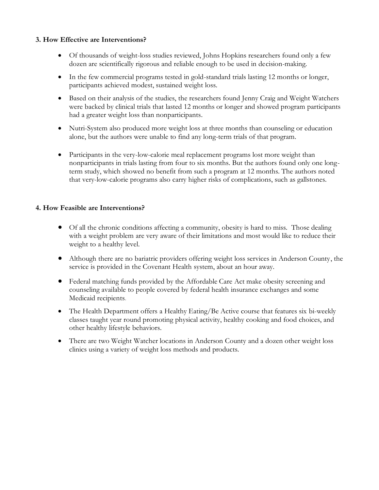#### **3. How Effective are Interventions?**

- Of thousands of weight-loss studies reviewed, Johns Hopkins researchers found only a few dozen are scientifically rigorous and reliable enough to be used in decision-making.
- In the few commercial programs tested in gold-standard trials lasting 12 months or longer, participants achieved modest, sustained weight loss.
- Based on their analysis of the studies, the researchers found Jenny Craig and Weight Watchers were backed by clinical trials that lasted 12 months or longer and showed program participants had a greater weight loss than nonparticipants.
- Nutri-System also produced more weight loss at three months than counseling or education alone, but the authors were unable to find any long-term trials of that program.
- Participants in the very-low-calorie meal replacement programs lost more weight than nonparticipants in trials lasting from four to six months. But the authors found only one longterm study, which showed no benefit from such a program at 12 months. The authors noted that very-low-calorie programs also carry higher risks of complications, such as gallstones.

### **4. How Feasible are Interventions?**

- Of all the chronic conditions affecting a community, obesity is hard to miss. Those dealing with a weight problem are very aware of their limitations and most would like to reduce their weight to a healthy level.
- Although there are no bariatric providers offering weight loss services in Anderson County, the service is provided in the Covenant Health system, about an hour away.
- Federal matching funds provided by the Affordable Care Act make obesity screening and counseling available to people covered by federal health insurance exchanges and some Medicaid recipients.
- The Health Department offers a Healthy Eating/Be Active course that features six bi-weekly classes taught year round promoting physical activity, healthy cooking and food choices, and other healthy lifestyle behaviors.
- There are two Weight Watcher locations in Anderson County and a dozen other weight loss clinics using a variety of weight loss methods and products.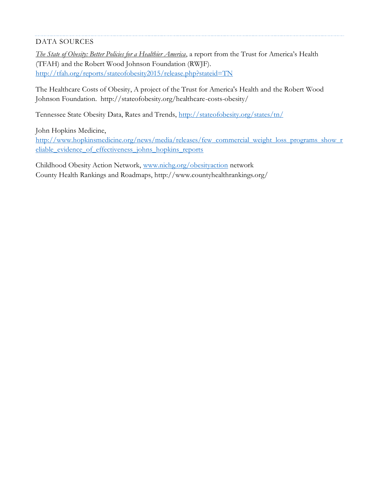### DATA SOURCES

*[The State of Obesity: Better Policies for a Healthier America](http://stateofobesity.org/)*, a report from the Trust for America's Health (TFAH) and the Robert Wood Johnson Foundation (RWJF). <http://tfah.org/reports/stateofobesity2015/release.php?stateid=TN>

The Healthcare Costs of Obesity, A project of the Trust for America's Health and the Robert Wood Johnson Foundation. http://stateofobesity.org/healthcare-costs-obesity/

Tennessee State Obesity Data, Rates and Trends,<http://stateofobesity.org/states/tn/>

John Hopkins Medicine,

[http://www.hopkinsmedicine.org/news/media/releases/few\\_commercial\\_weight\\_loss\\_programs\\_show\\_r](http://www.hopkinsmedicine.org/news/media/releases/few_commercial_weight_loss_programs_show_reliable_evidence_of_effectiveness_johns_hopkins_reports) [eliable\\_evidence\\_of\\_effectiveness\\_johns\\_hopkins\\_reports](http://www.hopkinsmedicine.org/news/media/releases/few_commercial_weight_loss_programs_show_reliable_evidence_of_effectiveness_johns_hopkins_reports)

Childhood Obesity Action Network, [www.nichg.org/obesityaction](http://www.nichg.org/obesityaction) networ[k](http://stateofobesity.org/rates/) County Health Rankings and Roadmaps, http://www.countyhealthrankings.org/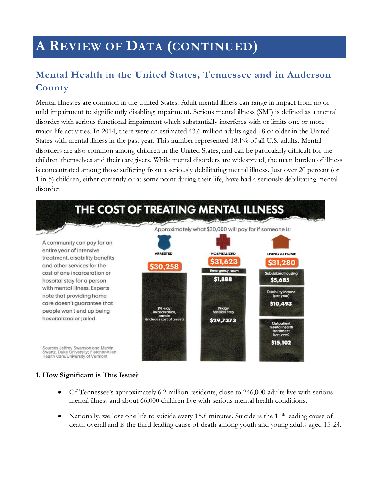# **A REVIEW OF DATA (CONTINUED)**

### **Mental Health in the United States, Tennessee and in Anderson County**

Mental illnesses are common in the United States. Adult mental illness can range in impact from no or mild impairment to significantly disabling impairment. Serious mental illness (SMI) is defined as a mental disorder with serious functional impairment which substantially interferes with or limits one or more major life activities. In 2014, there were an estimated 43.6 million adults aged 18 or older in the United States with mental illness in the past year. This number represented 18.1% of all U.S. adults. Mental disorders are also common among children in the United States, and can be particularly difficult for the children themselves and their caregivers. While mental disorders are widespread, the main burden of illness is concentrated among those suffering from a seriously debilitating mental illness. Just over 20 percent (or 1 in 5) children, either currently or at some point during their life, have had a seriously debilitating mental disorder.



#### **1. How Significant is This Issue?**

- Of Tennessee's approximately 6.2 million residents, close to 246,000 adults live with serious mental illness and about 66,000 children live with serious mental health conditions.
- Nationally, we lose one life to suicide every 15.8 minutes. Suicide is the  $11<sup>th</sup>$  leading cause of death overall and is the third leading cause of death among youth and young adults aged 15-24.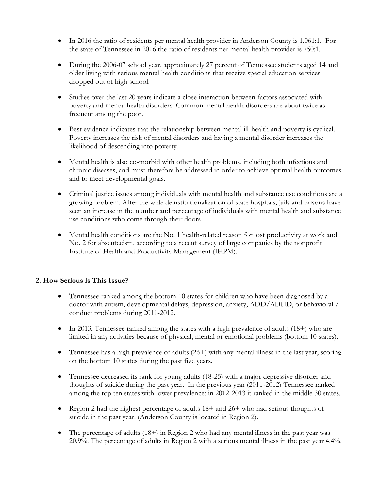- In 2016 the ratio of residents per mental health provider in Anderson County is 1,061:1. For the state of Tennessee in 2016 the ratio of residents per mental health provider is 750:1.
- During the 2006-07 school year, approximately 27 percent of Tennessee students aged 14 and older living with serious mental health conditions that receive special education services dropped out of high school.
- Studies over the last 20 years indicate a close interaction between factors associated with poverty and mental health disorders. Common mental health disorders are about twice as frequent among the poor.
- Best evidence indicates that the relationship between mental ill-health and poverty is cyclical. Poverty increases the risk of mental disorders and having a mental disorder increases the likelihood of descending into poverty.
- Mental health is also co-morbid with other health problems, including both infectious and chronic diseases, and must therefore be addressed in order to achieve optimal health outcomes and to meet developmental goals.
- Criminal justice issues among individuals with mental health and substance use conditions are a growing problem. After the wide deinstitutionalization of state hospitals, jails and prisons have seen an increase in the number and percentage of individuals with mental health and substance use conditions who come through their doors.
- Mental health conditions are the No. 1 health-related reason for lost productivity at work and No. 2 for absenteeism, according to a recent survey of large companies by the nonprofit Institute of Health and Productivity Management (IHPM).

### **2. How Serious is This Issue?**

- Tennessee ranked among the bottom 10 states for children who have been diagnosed by a doctor with autism, developmental delays, depression, anxiety, ADD/ADHD, or behavioral / conduct problems during 2011-2012.
- In 2013, Tennessee ranked among the states with a high prevalence of adults (18+) who are limited in any activities because of physical, mental or emotional problems (bottom 10 states).
- Tennessee has a high prevalence of adults  $(26+)$  with any mental illness in the last year, scoring on the bottom 10 states during the past five years.
- Tennessee decreased its rank for young adults (18-25) with a major depressive disorder and thoughts of suicide during the past year. In the previous year (2011-2012) Tennessee ranked among the top ten states with lower prevalence; in 2012-2013 it ranked in the middle 30 states.
- Region 2 had the highest percentage of adults 18+ and 26+ who had serious thoughts of suicide in the past year. (Anderson County is located in Region 2).
- The percentage of adults  $(18+)$  in Region 2 who had any mental illness in the past year was 20.9%. The percentage of adults in Region 2 with a serious mental illness in the past year 4.4%.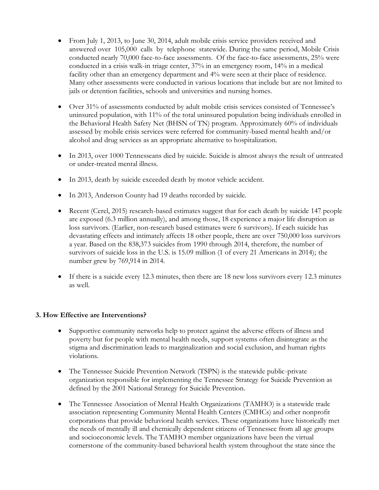- From July 1, 2013, to June 30, 2014, adult mobile crisis service providers received and answered over 105,000 calls by telephone statewide. During the same period, Mobile Crisis conducted nearly 70,000 face-to-face assessments. Of the face-to-face assessments, 25% were conducted in a crisis walk-in triage center, 37% in an emergency room, 14% in a medical facility other than an emergency department and 4% were seen at their place of residence. Many other assessments were conducted in various locations that include but are not limited to jails or detention facilities, schools and universities and nursing homes.
- Over 31% of assessments conducted by adult mobile crisis services consisted of Tennessee's uninsured population, with 11% of the total uninsured population being individuals enrolled in the Behavioral Health Safety Net (BHSN of TN) program. Approximately 60% of individuals assessed by mobile crisis services were referred for community-based mental health and/or alcohol and drug services as an appropriate alternative to hospitalization.
- In 2013, over 1000 Tennesseans died by suicide. Suicide is almost always the result of untreated or under-treated mental illness.
- In 2013, death by suicide exceeded death by motor vehicle accident.
- In 2013, Anderson County had 19 deaths recorded by suicide.
- Recent (Cerel, 2015) research-based estimates suggest that for each death by suicide 147 people are exposed (6.3 million annually), and among those, 18 experience a major life disruption as loss survivors. (Earlier, non-research based estimates were 6 survivors). If each suicide has devastating effects and intimately affects 18 other people, there are over 750,000 loss survivors a year. Based on the 838,373 suicides from 1990 through 2014, therefore, the number of survivors of suicide loss in the U.S. is 15.09 million (1 of every 21 Americans in 2014); the number grew by 769,914 in 2014.
- If there is a suicide every 12.3 minutes, then there are 18 new loss survivors every 12.3 minutes as well.

### **3. How Effective are Interventions?**

- Supportive community networks help to protect against the adverse effects of illness and poverty but for people with mental health needs, support systems often disintegrate as the stigma and discrimination leads to marginalization and social exclusion, and human rights violations.
- The Tennessee Suicide Prevention Network (TSPN) is the statewide public-private organization responsible for implementing the Tennessee Strategy for Suicide Prevention as defined by the 2001 National Strategy for Suicide Prevention.
- The Tennessee Association of Mental Health Organizations (TAMHO) is a statewide trade association representing Community Mental Health Centers (CMHCs) and other nonprofit corporations that provide behavioral health services. These organizations have historically met the needs of mentally ill and chemically dependent citizens of Tennessee from all age groups and socioeconomic levels. The TAMHO member organizations have been the virtual cornerstone of the community-based behavioral health system throughout the state since the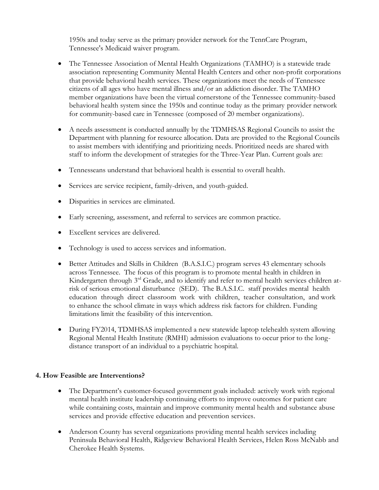1950s and today serve as the primary provider network for the TennCare Program, Tennessee's Medicaid waiver program.

- The Tennessee Association of Mental Health Organizations (TAMHO) is a statewide trade association representing Community Mental Health Centers and other non-profit corporations that provide behavioral health services. These organizations meet the needs of Tennessee citizens of all ages who have mental illness and/or an addiction disorder. The TAMHO member organizations have been the virtual cornerstone of the Tennessee community-based behavioral health system since the 1950s and continue today as the primary provider network for community-based care in Tennessee (composed of 20 member organizations).
- A needs assessment is conducted annually by the TDMHSAS Regional Councils to assist the Department with planning for resource allocation. Data are provided to the Regional Councils to assist members with identifying and prioritizing needs. Prioritized needs are shared with staff to inform the development of strategies for the Three-Year Plan. Current goals are:
- Tennesseans understand that behavioral health is essential to overall health.
- Services are service recipient, family-driven, and youth-guided.
- Disparities in services are eliminated.
- Early screening, assessment, and referral to services are common practice.
- Excellent services are delivered.
- Technology is used to access services and information.
- Better Attitudes and Skills in Children (B.A.S.I.C.) program serves 43 elementary schools across Tennessee. The focus of this program is to promote mental health in children in Kindergarten through 3rd Grade, and to identify and refer to mental health services children atrisk of serious emotional disturbance (SED). The B.A.S.I.C. staff provides mental health education through direct classroom work with children, teacher consultation, and work to enhance the school climate in ways which address risk factors for children. Funding limitations limit the feasibility of this intervention.
- During FY2014, TDMHSAS implemented a new statewide laptop telehealth system allowing Regional Mental Health Institute (RMHI) admission evaluations to occur prior to the longdistance transport of an individual to a psychiatric hospital.

#### **4. How Feasible are Interventions?**

- The Department's customer-focused government goals included: actively work with regional mental health institute leadership continuing efforts to improve outcomes for patient care while containing costs, maintain and improve community mental health and substance abuse services and provide effective education and prevention services.
- Anderson County has several organizations providing mental health services including Peninsula Behavioral Health, Ridgeview Behavioral Health Services, Helen Ross McNabb and Cherokee Health Systems.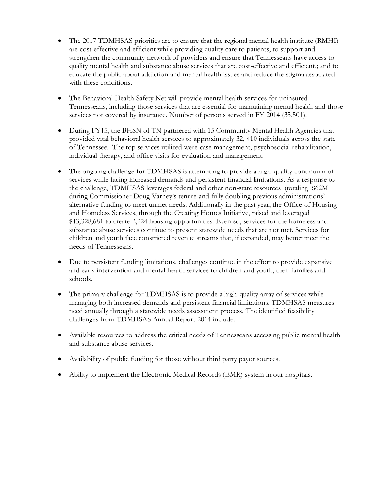- The 2017 TDMHSAS priorities are to ensure that the regional mental health institute (RMHI) are cost-effective and efficient while providing quality care to patients, to support and strengthen the community network of providers and ensure that Tennesseans have access to quality mental health and substance abuse services that are cost-effective and efficient,; and to educate the public about addiction and mental health issues and reduce the stigma associated with these conditions.
- The Behavioral Health Safety Net will provide mental health services for uninsured Tennesseans, including those services that are essential for maintaining mental health and those services not covered by insurance. Number of persons served in FY 2014 (35,501).
- During FY15, the BHSN of TN partnered with 15 Community Mental Health Agencies that provided vital behavioral health services to approximately 32, 410 individuals across the state of Tennessee. The top services utilized were case management, psychosocial rehabilitation, individual therapy, and office visits for evaluation and management.
- The ongoing challenge for TDMHSAS is attempting to provide a high-quality continuum of services while facing increased demands and persistent financial limitations. As a response to the challenge, TDMHSAS leverages federal and other non-state resources (totaling \$62M during Commissioner Doug Varney's tenure and fully doubling previous administrations' alternative funding to meet unmet needs. Additionally in the past year, the Office of Housing and Homeless Services, through the Creating Homes Initiative, raised and leveraged \$43,328,681 to create 2,224 housing opportunities. Even so, services for the homeless and substance abuse services continue to present statewide needs that are not met. Services for children and youth face constricted revenue streams that, if expanded, may better meet the needs of Tennesseans.
- Due to persistent funding limitations, challenges continue in the effort to provide expansive and early intervention and mental health services to children and youth, their families and schools.
- The primary challenge for TDMHSAS is to provide a high-quality array of services while managing both increased demands and persistent financial limitations. TDMHSAS measures need annually through a statewide needs assessment process. The identified feasibility challenges from TDMHSAS Annual Report 2014 include:
- Available resources to address the critical needs of Tennesseans accessing public mental health and substance abuse services.
- Availability of public funding for those without third party payor sources.
- Ability to implement the Electronic Medical Records (EMR) system in our hospitals.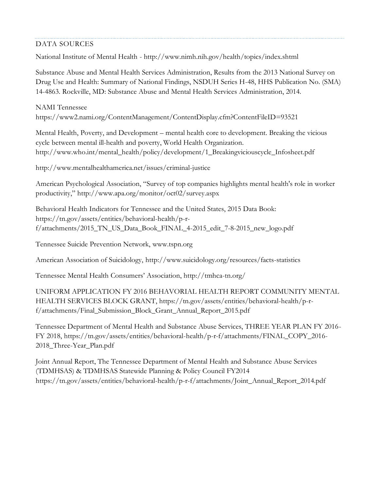### DATA SOURCES

National Institute of Mental Health - <http://www.nimh.nih.gov/health/topics/index.shtml>

Substance Abuse and Mental Health Services Administration, Results from the 2013 National Survey on Drug Use and Health: Summary of National Findings, NSDUH Series H-48, HHS Publication No. (SMA) 14-4863. Rockville, MD: Substance Abuse and Mental Health Services Administration, 2014.

NAMI Tennessee <https://www2.nami.org/ContentManagement/ContentDisplay.cfm?ContentFileID=93521>

Mental Health, Poverty, and Development – mental health core to development. Breaking the vicious cycle between mental ill-health and poverty, World Health Organization. [http://www.who.int/mental\\_health/policy/development/1\\_Breakingviciouscycle\\_Infosheet.pdf](http://www.who.int/mental_health/policy/development/1_Breakingviciouscycle_Infosheet.pdf)

<http://www.mentalhealthamerica.net/issues/criminal-justice>

American Psychological Association, "Survey of top companies highlights mental health's role in worker productivity," <http://www.apa.org/monitor/oct02/survey.aspx>

Behavioral Health Indicators for Tennessee and the United States, 2015 Data Book: [https://tn.gov/assets/entities/behavioral-health/p-r](https://tn.gov/assets/entities/behavioral-health/p-r-f/attachments/2015_TN_US_Data_Book_FINAL_4-2015_edit_7-8-2015_new_logo.pdf)[f/attachments/2015\\_TN\\_US\\_Data\\_Book\\_FINAL\\_4-2015\\_edit\\_7-8-2015\\_new\\_logo.pdf](https://tn.gov/assets/entities/behavioral-health/p-r-f/attachments/2015_TN_US_Data_Book_FINAL_4-2015_edit_7-8-2015_new_logo.pdf)

Tennessee Suicide Prevention Network, [www.tspn.org](http://www.tspn.org/)

American Association of Suicidology,<http://www.suicidology.org/resources/facts-statistics>

Tennessee Mental Health Consumers' Association, <http://tmhca-tn.org/>

UNIFORM APPLICATION FY 2016 BEHAVORIAL HEALTH REPORT COMMUNITY MENTAL HEALTH SERVICES BLOCK GRANT, [https://tn.gov/assets/entities/behavioral-health/p-r](https://tn.gov/assets/entities/behavioral-health/p-r-f/attachments/Final_Submission_Block_Grant_Annual_Report_2015.pdf)[f/attachments/Final\\_Submission\\_Block\\_Grant\\_Annual\\_Report\\_2015.pdf](https://tn.gov/assets/entities/behavioral-health/p-r-f/attachments/Final_Submission_Block_Grant_Annual_Report_2015.pdf)

Tennessee Department of Mental Health and Substance Abuse Services, THREE YEAR PLAN FY 2016- FY 2018, [https://tn.gov/assets/entities/behavioral-health/p-r-f/attachments/FINAL\\_COPY\\_2016-](https://tn.gov/assets/entities/behavioral-health/p-r-f/attachments/FINAL_COPY_2016-2018_Three-Year_Plan.pdf) [2018\\_Three-Year\\_Plan.pdf](https://tn.gov/assets/entities/behavioral-health/p-r-f/attachments/FINAL_COPY_2016-2018_Three-Year_Plan.pdf)

Joint Annual Report, The Tennessee Department of Mental Health and Substance Abuse Services (TDMHSAS) & TDMHSAS Statewide Planning & Policy Council FY2014 [https://tn.gov/assets/entities/behavioral-health/p-r-f/attachments/Joint\\_Annual\\_Report\\_2014.pdf](https://tn.gov/assets/entities/behavioral-health/p-r-f/attachments/Joint_Annual_Report_2014.pdf)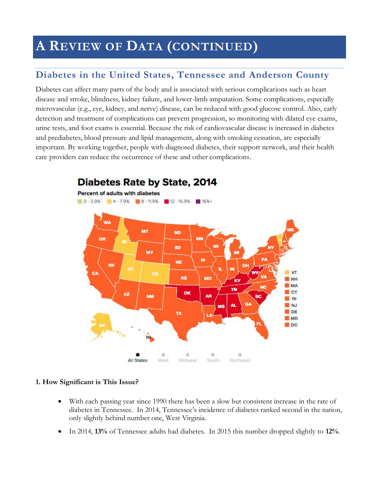# **A REVIEW OF DATA (CONTINUED)**

### **Diabetes in the United States, Tennessee and Anderson County**

Diabetes can affect many parts of the body and is associated with serious complications such as heart disease and stroke, blindness, kidney failure, and lower-limb amputation. Some complications, especially microvascular (e.g., eye, kidney, and nerve) disease, can be reduced with good glucose control. Also, early detection and treatment of complications can prevent progression, so monitoring with dilated eye exams, urine tests, and foot exams is essential. Because the risk of cardiovascular disease is increased in diabetes and prediabetes, blood pressure and lipid management, along with smoking cessation, are especially important. By working together, people with diagnosed diabetes, their support network, and their health care providers can reduce the occurrence of these and other complications.



## **Diabetes Rate by State, 2014**

#### **1. How Significant is This Issue?**

- With each passing year since 1990 there has been a slow but consistent increase in the rate of diabetes in Tennessee. In 2014, Tennessee's incidence of diabetes ranked second in the nation, only slightly behind number one, West Virginia.
- In 2014, **13%** of Tennessee adults had diabetes. In 2015 this number dropped slightly to **12%**.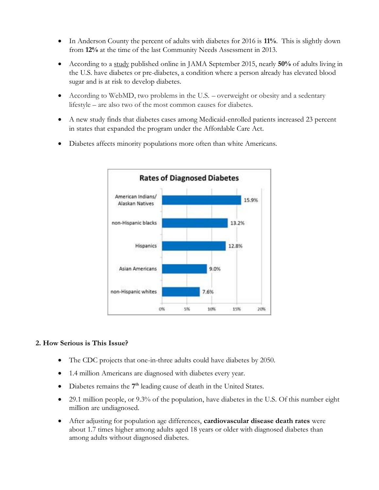- In Anderson County the percent of adults with diabetes for 2016 is **11%**. This is slightly down from **12%** at the time of the last Community Needs Assessment in 2013.
- According to a [study](http://jama.jamanetwork.com/article.aspx?articleid=2434682) published online in JAMA September 2015, nearly **50%** of adults living in the U.S. have diabetes or pre-diabetes, a condition where a person already has elevated blood sugar and is at risk to develop diabetes.
- According to WebMD, two problems in the U.S. overweight or obesity and a sedentary lifestyle – are also two of the most common causes for diabetes.
- A new study finds that diabetes cases among Medicaid-enrolled patients increased 23 percent in states that expanded the program under the Affordable Care Act.
- Diabetes affects minority populations more often than white Americans.



#### **2. How Serious is This Issue?**

- The CDC projects that one-in-three adults could have diabetes by 2050.
- 1.4 million Americans are diagnosed with diabetes every year.
- Diabetes remains the 7<sup>th</sup> leading cause of death in the United States.
- 29.1 million people, or 9.3% of the population, have diabetes in the U.S. Of this number eight million are undiagnosed.
- After adjusting for population age differences, **cardiovascular disease death rates** were about 1.7 times higher among adults aged 18 years or older with diagnosed diabetes than among adults without diagnosed diabetes.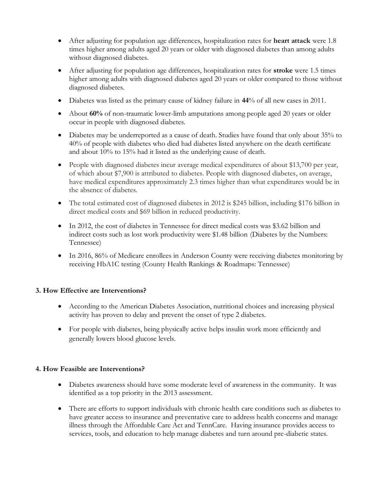- After adjusting for population age differences, hospitalization rates for **heart attack** were 1.8 times higher among adults aged 20 years or older with diagnosed diabetes than among adults without diagnosed diabetes.
- After adjusting for population age differences, hospitalization rates for **stroke** were 1.5 times higher among adults with diagnosed diabetes aged 20 years or older compared to those without diagnosed diabetes.
- Diabetes was listed as the primary cause of kidney failure in **44**% of all new cases in 2011.
- About **60%** of non-traumatic lower-limb amputations among people aged 20 years or older occur in people with diagnosed diabetes.
- Diabetes may be underreported as a cause of death. Studies have found that only about 35% to 40% of people with diabetes who died had diabetes listed anywhere on the death certificate and about 10% to 15% had it listed as the underlying cause of death.
- People with diagnosed diabetes incur average medical expenditures of about \$13,700 per year, of which about \$7,900 is attributed to diabetes. People with diagnosed diabetes, on average, have medical expenditures approximately 2.3 times higher than what expenditures would be in the absence of diabetes.
- The total estimated cost of diagnosed diabetes in 2012 is \$245 billion, including \$176 billion in direct medical costs and \$69 billion in reduced productivity.
- In 2012, the cost of diabetes in Tennessee for direct medical costs was \$3.62 billion and indirect costs such as lost work productivity were \$1.48 billion (Diabetes by the Numbers: Tennessee)
- In 2016, 86% of Medicare enrollees in Anderson County were receiving diabetes monitoring by receiving HbA1C testing (County Health Rankings & Roadmaps: Tennessee)

### **3. How Effective are Interventions?**

- According to the American Diabetes Association, nutritional choices and increasing physical activity has proven to delay and prevent the onset of type 2 diabetes.
- For people with diabetes, being physically active helps insulin work more efficiently and generally lowers blood glucose levels.

### **4. How Feasible are Interventions?**

- Diabetes awareness should have some moderate level of awareness in the community. It was identified as a top priority in the 2013 assessment.
- There are efforts to support individuals with chronic health care conditions such as diabetes to have greater access to insurance and preventative care to address health concerns and manage illness through the Affordable Care Act and TennCare. Having insurance provides access to services, tools, and education to help manage diabetes and turn around pre-diabetic states.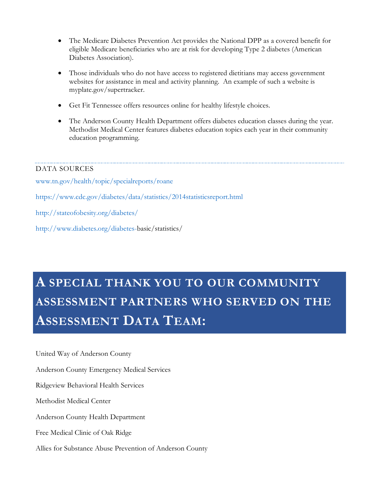- The Medicare Diabetes Prevention Act provides the National DPP as a covered benefit for eligible Medicare beneficiaries who are at risk for developing Type 2 diabetes (American Diabetes Association).
- Those individuals who do not have access to registered dietitians may access government websites for assistance in meal and activity planning. An example of such a website is myplate.gov/supertracker.
- Get Fit Tennessee offers resources online for healthy lifestyle choices.
- The Anderson County Health Department offers diabetes education classes during the year. Methodist Medical Center features diabetes education topics each year in their community education programming.

### DATA SOURCES

[www.tn.gov/health/topic/specialreports/roane](http://www.tn.gov/health/topic/specialreports/roane)

<https://www.cdc.gov/diabetes/data/statistics/2014statisticsreport.html>

<http://stateofobesity.org/diabetes/>

[http://www.diabetes.org/diabetes-b](http://www.diabetes.org/diabetes-)asic/statistics/

# **A SPECIAL THANK YOU TO OUR COMMUNITY ASSESSMENT PARTNERS WHO SERVED ON THE ASSESSMENT DATA TEAM:**

United Way of Anderson County

Anderson County Emergency Medical Services

Ridgeview Behavioral Health Services

Methodist Medical Center

Anderson County Health Department

Free Medical Clinic of Oak Ridge

Allies for Substance Abuse Prevention of Anderson County